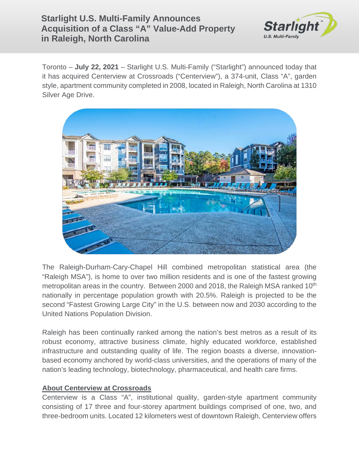## **Starlight U.S. Multi-Family Announces Acquisition of a Class "A" Value-Add Property in Raleigh, North Carolina**



Toronto – **July 22, 2021** – Starlight U.S. Multi-Family ("Starlight") announced today that it has acquired Centerview at Crossroads ("Centerview"), a 374-unit, Class "A", garden style, apartment community completed in 2008, located in Raleigh, North Carolina at 1310 Silver Age Drive.



The Raleigh-Durham-Cary-Chapel Hill combined metropolitan statistical area (the "Raleigh MSA"), is home to over two million residents and is one of the fastest growing metropolitan areas in the country. Between 2000 and 2018, the Raleigh MSA ranked 10<sup>th</sup> nationally in percentage population growth with 20.5%. Raleigh is projected to be the second "Fastest Growing Large City" in the U.S. between now and 2030 according to the United Nations Population Division.

Raleigh has been continually ranked among the nation's best metros as a result of its robust economy, attractive business climate, highly educated workforce, established infrastructure and outstanding quality of life. The region boasts a diverse, innovationbased economy anchored by world-class universities, and the operations of many of the nation's leading technology, biotechnology, pharmaceutical, and health care firms.

## **About Centerview at Crossroads**

Centerview is a Class "A", institutional quality, garden-style apartment community consisting of 17 three and four-storey apartment buildings comprised of one, two, and three-bedroom units. Located 12 kilometers west of downtown Raleigh, Centerview offers